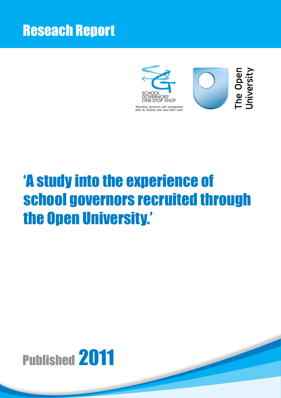# Reseach Report



# 'A study into the experience of school governors recruited through the Open University.'

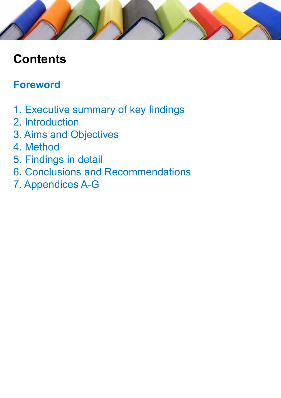# **Contents**

### **Foreword**

- 1. Executive summary of key findings
- 2. Introduction
- 3. Aims and Objectives
- 4. Method
- 5. Findings in detail
- 6. Conclusions and Recommendations
- 7. Appendices A-G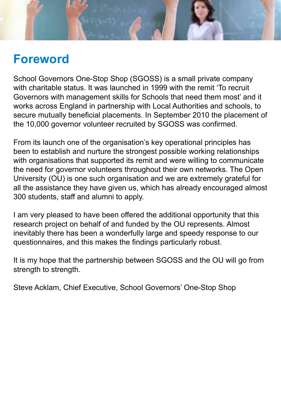

### **Foreword**

School Governors One-Stop Shop (SGOSS) is a small private company with charitable status. It was launched in 1999 with the remit 'To recruit Governors with management skills for Schools that need them most' and it works across England in partnership with Local Authorities and schools, to secure mutually beneficial placements. In September 2010 the placement of the 10,000 governor volunteer recruited by SGOSS was confirmed.

From its launch one of the organisation's key operational principles has been to establish and nurture the strongest possible working relationships with organisations that supported its remit and were willing to communicate the need for governor volunteers throughout their own networks. The Open University (OU) is one such organisation and we are extremely grateful for all the assistance they have given us, which has already encouraged almost 300 students, staff and alumni to apply.

I am very pleased to have been offered the additional opportunity that this research project on behalf of and funded by the OU represents. Almost inevitably there has been a wonderfully large and speedy response to our questionnaires, and this makes the findings particularly robust.

It is my hope that the partnership between SGOSS and the OU will go from strength to strength.

Steve Acklam, Chief Executive, School Governors' One-Stop Shop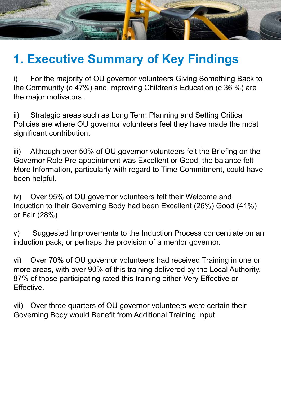

# **1. Executive Summary of Key Findings**

i) For the majority of OU governor volunteers Giving Something Back to the Community (c 47%) and Improving Children's Education (c 36 %) are the major motivators.

ii) Strategic areas such as Long Term Planning and Setting Critical Policies are where OU governor volunteers feel they have made the most significant contribution.

iii) Although over 50% of OU governor volunteers felt the Briefing on the Governor Role Pre-appointment was Excellent or Good, the balance felt More Information, particularly with regard to Time Commitment, could have been helpful.

iv) Over 95% of OU governor volunteers felt their Welcome and Induction to their Governing Body had been Excellent (26%) Good (41%) or Fair (28%).

v) Suggested Improvements to the Induction Process concentrate on an induction pack, or perhaps the provision of a mentor governor.

vi) Over 70% of OU governor volunteers had received Training in one or more areas, with over 90% of this training delivered by the Local Authority. 87% of those participating rated this training either Very Effective or Effective.

vii) Over three quarters of OU governor volunteers were certain their Governing Body would Benefit from Additional Training Input.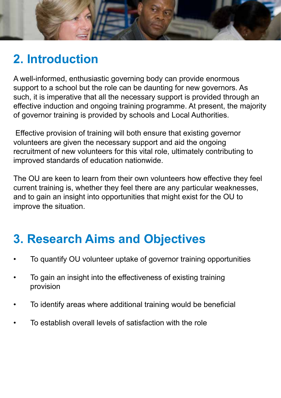

# **2. Introduction**

A well-informed, enthusiastic governing body can provide enormous support to a school but the role can be daunting for new governors. As such, it is imperative that all the necessary support is provided through an effective induction and ongoing training programme. At present, the majority of governor training is provided by schools and Local Authorities.

 Effective provision of training will both ensure that existing governor volunteers are given the necessary support and aid the ongoing recruitment of new volunteers for this vital role, ultimately contributing to improved standards of education nationwide.

The OU are keen to learn from their own volunteers how effective they feel current training is, whether they feel there are any particular weaknesses, and to gain an insight into opportunities that might exist for the OU to improve the situation.

# **3. Research Aims and Objectives**

- To quantify OU volunteer uptake of governor training opportunities
- To gain an insight into the effectiveness of existing training provision
- To identify areas where additional training would be beneficial
- To establish overall levels of satisfaction with the role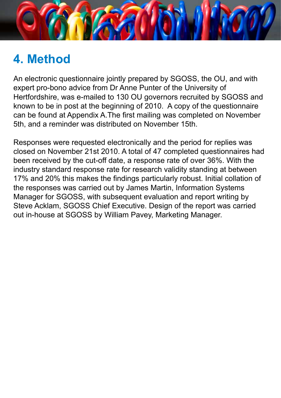

# **4. Method**

An electronic questionnaire jointly prepared by SGOSS, the OU, and with expert pro-bono advice from Dr Anne Punter of the University of Hertfordshire, was e-mailed to 130 OU governors recruited by SGOSS and known to be in post at the beginning of 2010. A copy of the questionnaire can be found at Appendix A.The first mailing was completed on November 5th, and a reminder was distributed on November 15th.

Responses were requested electronically and the period for replies was closed on November 21st 2010. A total of 47 completed questionnaires had been received by the cut-off date, a response rate of over 36%. With the industry standard response rate for research validity standing at between 17% and 20% this makes the findings particularly robust. Initial collation of the responses was carried out by James Martin, Information Systems Manager for SGOSS, with subsequent evaluation and report writing by Steve Acklam, SGOSS Chief Executive. Design of the report was carried out in-house at SGOSS by William Pavey, Marketing Manager.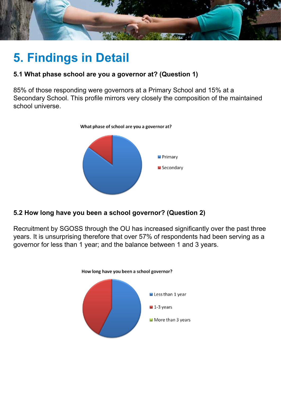

# **5. Findings in Detail**

### **5.1 What phase school are you a governor at? (Question 1)**

85% of those responding were governors at a Primary School and 15% at a Secondary School. This profile mirrors very closely the composition of the maintained school universe.



### **5.2 How long have you been a school governor? (Question 2)**

Recruitment by SGOSS through the OU has increased significantly over the past three years. It is unsurprising therefore that over 57% of respondents had been serving as a governor for less than 1 year; and the balance between 1 and 3 years.

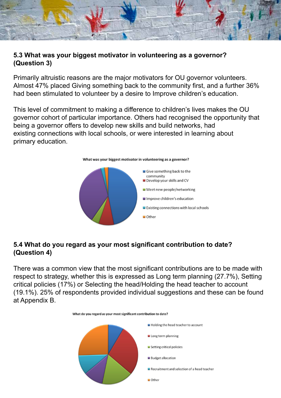

### **5.3 What was your biggest motivator in volunteering as a governor? (Question 3)**

Primarily altruistic reasons are the major motivators for OU governor volunteers. Almost 47% placed Giving something back to the community first, and a further 36% had been stimulated to volunteer by a desire to Improve children's education.

This level of commitment to making a difference to children's lives makes the OU governor cohort of particular importance. Others had recognised the opportunity that being a governor offers to develop new skills and build networks, had existing connections with local schools, or were interested in learning about primary education.



#### **5.4 What do you regard as your most significant contribution to date? (Question 4)**

There was a common view that the most significant contributions are to be made with respect to strategy, whether this is expressed as Long term planning (27.7%), Setting critical policies (17%) or Selecting the head/Holding the head teacher to account (19.1%). 25% of respondents provided individual suggestions and these can be found at Appendix B.

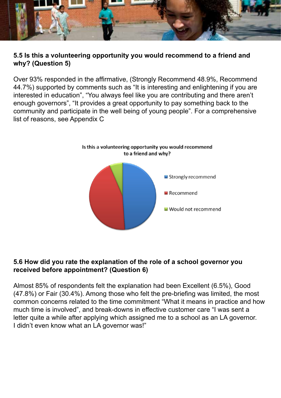

### **5.5 Is this a volunteering opportunity you would recommend to a friend and why? (Question 5)**

Over 93% responded in the affirmative, (Strongly Recommend 48.9%, Recommend 44.7%) supported by comments such as "It is interesting and enlightening if you are interested in education", "You always feel like you are contributing and there aren't enough governors", "It provides a great opportunity to pay something back to the community and participate in the well being of young people". For a comprehensive list of reasons, see Appendix C



#### **5.6 How did you rate the explanation of the role of a school governor you received before appointment? (Question 6)**

Almost 85% of respondents felt the explanation had been Excellent (6.5%), Good (47.8%) or Fair (30.4%). Among those who felt the pre-briefing was limited, the most common concerns related to the time commitment "What it means in practice and how much time is involved", and break-downs in effective customer care "I was sent a letter quite a while after applying which assigned me to a school as an LA governor. I didn't even know what an LA governor was!"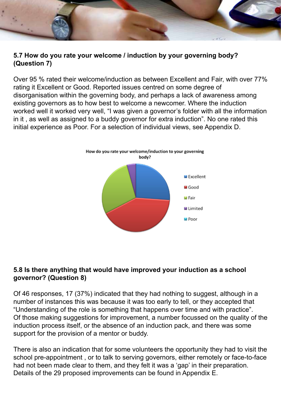#### **5.7 How do you rate your welcome / induction by your governing body? (Question 7)**

Over 95 % rated their welcome/induction as between Excellent and Fair, with over 77% rating it Excellent or Good. Reported issues centred on some degree of disorganisation within the governing body, and perhaps a lack of awareness among existing governors as to how best to welcome a newcomer. Where the induction worked well it worked very well, "I was given a governor's folder with all the information in it , as well as assigned to a buddy governor for extra induction". No one rated this initial experience as Poor. For a selection of individual views, see Appendix D.



#### **5.8 Is there anything that would have improved your induction as a school governor? (Question 8)**

Of 46 responses, 17 (37%) indicated that they had nothing to suggest, although in a number of instances this was because it was too early to tell, or they accepted that "Understanding of the role is something that happens over time and with practice". Of those making suggestions for improvement, a number focussed on the quality of the induction process itself, or the absence of an induction pack, and there was some support for the provision of a mentor or buddy.

There is also an indication that for some volunteers the opportunity they had to visit the school pre-appointment , or to talk to serving governors, either remotely or face-to-face had not been made clear to them, and they felt it was a 'gap' in their preparation. Details of the 29 proposed improvements can be found in Appendix E.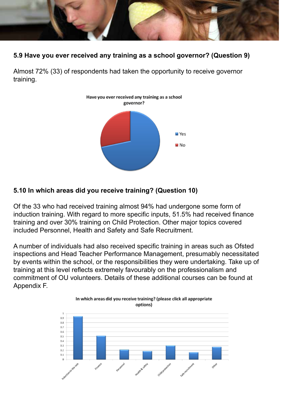

### **5.9 Have you ever received any training as a school governor? (Question 9)**

Almost 72% (33) of respondents had taken the opportunity to receive governor training.



#### **5.10 In which areas did you receive training? (Question 10)**

Of the 33 who had received training almost 94% had undergone some form of induction training. With regard to more specific inputs, 51.5% had received finance training and over 30% training on Child Protection. Other major topics covered included Personnel, Health and Safety and Safe Recruitment.

A number of individuals had also received specific training in areas such as Ofsted inspections and Head Teacher Performance Management, presumably necessitated by events within the school, or the responsibilities they were undertaking. Take up of training at this level reflects extremely favourably on the professionalism and commitment of OU volunteers. Details of these additional courses can be found at Appendix F.

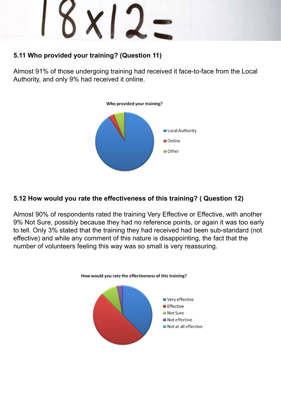$x12$ 

### **5.11 Who provided your training? (Question 11)**

Almost 91% of those undergoing training had received it face-to-face from the Local Authority, and only 9% had received it online.



### **5.12 How would you rate the effectiveness of this training? ( Question 12)**

Almost 90% of respondents rated the training Very Effective or Effective, with another 9% Not Sure, possibly because they had no reference points, or again it was too early to tell. Only 3% stated that the training they had received had been sub-standard (not effective) and while any comment of this nature is disappointing, the fact that the number of volunteers feeling this way was so small is very reassuring.

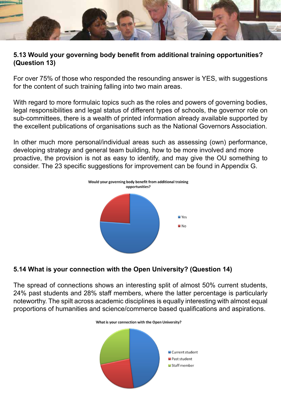

#### **5.13 Would your governing body benefit from additional training opportunities? (Question 13)**

For over 75% of those who responded the resounding answer is YES, with suggestions for the content of such training falling into two main areas.

With regard to more formulaic topics such as the roles and powers of governing bodies, legal responsibilities and legal status of different types of schools, the governor role on sub-committees, there is a wealth of printed information already available supported by the excellent publications of organisations such as the National Governors Association.

In other much more personal/individual areas such as assessing (own) performance, developing strategy and general team building, how to be more involved and more proactive, the provision is not as easy to identify, and may give the OU something to consider. The 23 specific suggestions for improvement can be found in Appendix G.



### **5.14 What is your connection with the Open University? (Question 14)**

The spread of connections shows an interesting split of almost 50% current students, 24% past students and 28% staff members, where the latter percentage is particularly noteworthy. The spilt across academic disciplines is equally interesting with almost equal proportions of humanities and science/commerce based qualifications and aspirations.

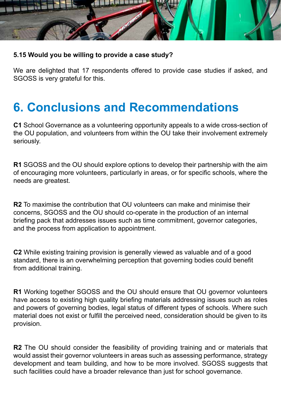

### **5.15 Would you be willing to provide a case study?**

We are delighted that 17 respondents offered to provide case studies if asked, and SGOSS is very grateful for this.

### **6. Conclusions and Recommendations**

**C1** School Governance as a volunteering opportunity appeals to a wide cross-section of the OU population, and volunteers from within the OU take their involvement extremely seriously.

**R1** SGOSS and the OU should explore options to develop their partnership with the aim of encouraging more volunteers, particularly in areas, or for specific schools, where the needs are greatest.

**R2** To maximise the contribution that OU volunteers can make and minimise their concerns, SGOSS and the OU should co-operate in the production of an internal briefing pack that addresses issues such as time commitment, governor categories, and the process from application to appointment.

**C2** While existing training provision is generally viewed as valuable and of a good standard, there is an overwhelming perception that governing bodies could benefit from additional training.

**R1** Working together SGOSS and the OU should ensure that OU governor volunteers have access to existing high quality briefing materials addressing issues such as roles and powers of governing bodies, legal status of different types of schools. Where such material does not exist or fulfill the perceived need, consideration should be given to its provision.

**R2** The OU should consider the feasibility of providing training and or materials that would assist their governor volunteers in areas such as assessing performance, strategy development and team building, and how to be more involved. SGOSS suggests that such facilities could have a broader relevance than just for school governance.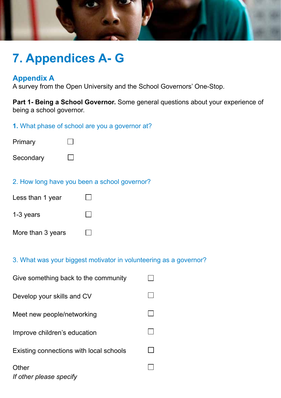

### **7. Appendices A- G**

### **Appendix A**

A survey from the Open University and the School Governors' One-Stop.

**Part 1- Being a School Governor.** Some general questions about your experience of being a school governor.

### **1.** What phase of school are you a governor at?



#### 2. How long have you been a school governor?

| Less than 1 year  |  |
|-------------------|--|
| $1-3$ years       |  |
| More than 3 years |  |

#### 3. What was your biggest motivator in volunteering as a governor?

| Give something back to the community    |  |
|-----------------------------------------|--|
| Develop your skills and CV              |  |
| Meet new people/networking              |  |
| Improve children's education            |  |
| Existing connections with local schools |  |
| Other<br>If other please specify        |  |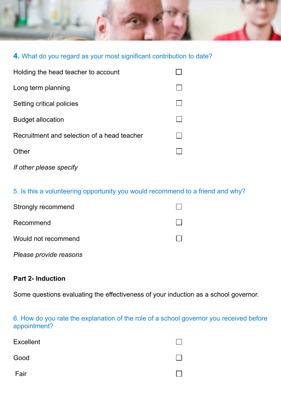

### **4.** What do you regard as your most significant contribution to date?

| Holding the head teacher to account         |  |
|---------------------------------------------|--|
| Long term planning                          |  |
| Setting critical policies                   |  |
| <b>Budget allocation</b>                    |  |
| Recruitment and selection of a head teacher |  |
| Other                                       |  |
| If other please specify                     |  |

### 5. Is this a volunteering opportunity you would recommend to a friend and why?

| Strongly recommend     |  |
|------------------------|--|
| Recommend              |  |
| Would not recommend    |  |
| Please provide reasons |  |

#### **Part 2- Induction**

Some questions evaluating the effectiveness of your induction as a school governor.

6. How do you rate the explanation of the role of a school governor you received before appointment?

| <b>Excellent</b> |  |
|------------------|--|
| Good             |  |
| Fair             |  |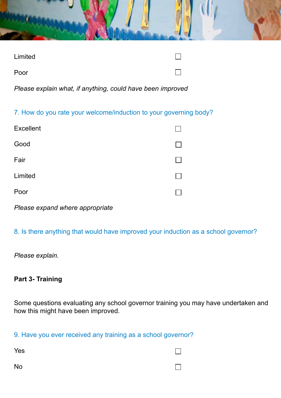| Limited | $\perp$ |  |
|---------|---------|--|
| Poor    | П       |  |

*Please explain what, if anything, could have been improved*

7. How do you rate your welcome/induction to your governing body?

| <b>Excellent</b> |  |
|------------------|--|
| Good             |  |
| Fair             |  |
| Limited          |  |
| Poor             |  |

*Please expand where appropriate*

8. Is there anything that would have improved your induction as a school governor?

*Please explain.*

### **Part 3- Training**

Some questions evaluating any school governor training you may have undertaken and how this might have been improved.

9. Have you ever received any training as a school governor?

Yes

### П

No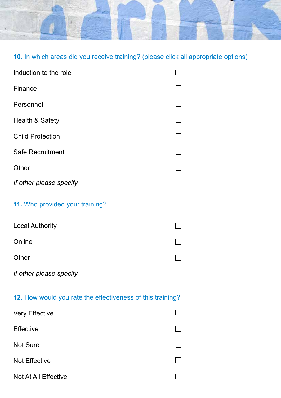

 $\Box$ 

 $\Box$ 

 $\Box$ 

### **10.** In which areas did you receive training? (please click all appropriate options)

| Induction to the role                                      |  |
|------------------------------------------------------------|--|
| Finance                                                    |  |
| Personnel                                                  |  |
| Health & Safety                                            |  |
| <b>Child Protection</b>                                    |  |
| <b>Safe Recruitment</b>                                    |  |
| Other                                                      |  |
| If other please specify                                    |  |
| 11. Who provided your training?                            |  |
| <b>Local Authority</b>                                     |  |
| Online                                                     |  |
| Other                                                      |  |
| If other please specify                                    |  |
| 12. How would you rate the effectiveness of this training? |  |
| <b>Very Effective</b>                                      |  |
| <b>Effective</b>                                           |  |

Not Sure

Not Effective

Not At All Effective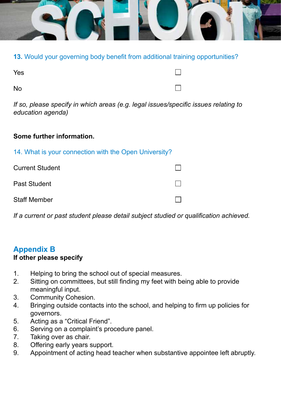

**13.** Would your governing body benefit from additional training opportunities?

No

 $\Box$ 

 $\Box$ 

*If so, please specify in which areas (e.g. legal issues/specific issues relating to education agenda)*

### **Some further information.**

|  |  |  |  |  |  | 14. What is your connection with the Open University? |
|--|--|--|--|--|--|-------------------------------------------------------|
|--|--|--|--|--|--|-------------------------------------------------------|

Current Student

Past Student

Staff Member

*If a current or past student please detail subject studied or qualification achieved.*

### **Appendix B**

### **If other please specify**

- 1. Helping to bring the school out of special measures.
- 2. Sitting on committees, but still finding my feet with being able to provide meaningful input.
- 3. Community Cohesion.
- 4. Bringing outside contacts into the school, and helping to firm up policies for governors.
- 5. Acting as a "Critical Friend".
- 6. Serving on a complaint's procedure panel.
- 7. Taking over as chair.
- 8. Offering early years support.
- 9. Appointment of acting head teacher when substantive appointee left abruptly.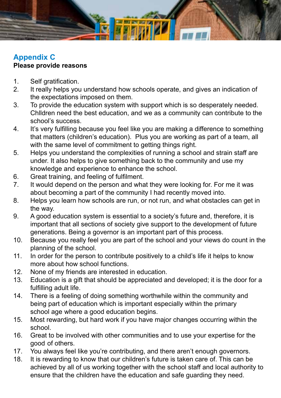

### **Appendix C Please provide reasons**

- 1. Self gratification.
- 2. It really helps you understand how schools operate, and gives an indication of the expectations imposed on them.
- 3. To provide the education system with support which is so desperately needed. Chlldren need the best education, and we as a community can contribute to the school's success.
- 4. It's very fulfilling because you feel like you are making a difference to something that matters (children's education). Plus you are working as part of a team, all with the same level of commitment to getting things right.
- 5. Helps you understand the complexities of running a school and strain staff are under. It also helps to give something back to the community and use my knowledge and experience to enhance the school.
- 6. Great training, and feeling of fulfilment.
- 7. It would depend on the person and what they were looking for. For me it was about becoming a part of the community I had recently moved into.
- 8. Helps you learn how schools are run, or not run, and what obstacles can get in the way.
- 9. A good education system is essential to a society's future and, therefore, it is important that all sections of society give support to the development of future generations. Being a governor is an important part of this process.
- 10. Because you really feel you are part of the school and your views do count in the planning of the school.
- 11. In order for the person to contribute positively to a child's life it helps to know more about how school functions.
- 12. None of my friends are interested in education.
- 13. Education is a gift that should be appreciated and developed; it is the door for a fulfilling adult life.
- 14. There is a feeling of doing something worthwhile within the community and being part of education which is important especially within the primary school age where a good education begins.
- 15. Most rewarding, but hard work if you have major changes occurring within the school.
- 16. Great to be involved with other communities and to use your expertise for the good of others.
- 17. You always feel like you're contributing, and there aren't enough governors.
- 18. It is rewarding to know that our children's future is taken care of. This can be achieved by all of us working together with the school staff and local authority to ensure that the children have the education and safe guarding they need.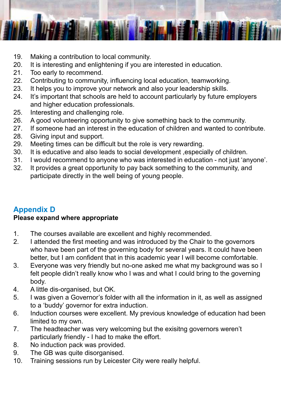

- 19. Making a contribution to local community.
- 20. It is interesting and enlightening if you are interested in education.
- 21. Too early to recommend.
- 22. Contributing to community, influencing local education, teamworking.
- 23. It helps you to improve your network and also your leadership skills.
- 24. It's important that schools are held to account particularly by future employers and higher education professionals.
- 25. Interesting and challenging role.
- 26. A good volunteering opportunity to give something back to the community.
- 27. If someone had an interest in the education of children and wanted to contribute.
- 28. Giving input and support.
- 29. Meeting times can be difficult but the role is very rewarding.
- 30. It is educative and also leads to social development ,especially of children.
- 31. I would recommend to anyone who was interested in education not just 'anyone'.
- 32. It provides a great opportunity to pay back something to the community, and participate directly in the well being of young people.

### **Appendix D**

### **Please expand where appropriate**

- 1. The courses available are excellent and highly recommended.
- 2. I attended the first meeting and was introduced by the Chair to the governors who have been part of the governing body for several years. It could have been better, but I am confident that in this academic year I will become comfortable.
- 3. Everyone was very friendly but no-one asked me what my background was so I felt people didn't really know who I was and what I could bring to the governing body.
- 4. A little dis-organised, but OK.
- 5. I was given a Governor's folder with all the information in it, as well as assigned to a 'buddy' governor for extra induction.
- 6. Induction courses were excellent. My previous knowledge of education had been limited to my own.
- 7. The headteacher was very welcoming but the exisitng governors weren't particularly friendly - I had to make the effort.
- 8. No induction pack was provided.
- 9. The GB was quite disorganised.
- 10. Training sessions run by Leicester City were really helpful.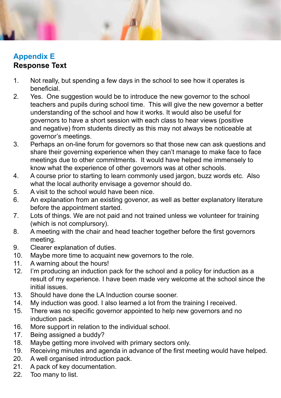### **Appendix E Response Text**

- 1. Not really, but spending a few days in the school to see how it operates is beneficial.
- 2. Yes. One suggestion would be to introduce the new governor to the school teachers and pupils during school time. This will give the new governor a better understanding of the school and how it works. It would also be useful for governors to have a short session with each class to hear views (positive and negative) from students directly as this may not always be noticeable at governor's meetings.
- 3. Perhaps an on-line forum for governors so that those new can ask questions and share their governing experience when they can't manage to make face to face meetings due to other commitments. It would have helped me immensely to know what the experience of other governors was at other schools.
- 4. A course prior to starting to learn commonly used jargon, buzz words etc. Also what the local authority envisage a governor should do.
- 5. A visit to the school would have been nice.
- 6. An explanation from an existing govenor, as well as better explanatory literature before the appointment started.
- 7. Lots of things. We are not paid and not trained unless we volunteer for training (which is not complursory).
- 8. A meeting with the chair and head teacher together before the first governors meeting.
- 9. Clearer explanation of duties.
- 10. Maybe more time to acquaint new governors to the role.
- 11. A warning about the hours!
- 12. I'm producing an induction pack for the school and a policy for induction as a result of my experience. I have been made very welcome at the school since the initial issues.
- 13. Should have done the LA Induction course sooner.
- 14. My induction was good. I also learned a lot from the training I received.
- 15. There was no specific governor appointed to help new governors and no induction pack.
- 16. More support in relation to the individual school.
- 17. Being assigned a buddy?
- 18. Maybe getting more involved with primary sectors only.
- 19. Receiving minutes and agenda in advance of the first meeting would have helped.
- 20. A well organised introduction pack.
- 21. A pack of key documentation.
- 22. Too many to list.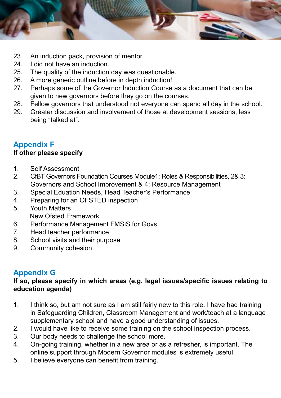

- 23. An induction pack, provision of mentor.
- 24. I did not have an induction.
- 25. The quality of the induction day was questionable.
- 26. A more generic outline before in depth induction!
- 27. Perhaps some of the Governor Induction Course as a document that can be given to new governors before they go on the courses.
- 28. Fellow governors that understood not everyone can spend all day in the school.
- 29. Greater discussion and involvement of those at development sessions, less being "talked at".

### **Appendix F**

### **If other please specify**

- 1. Self Assessment
- 2. CfBT Governors Foundation Courses Module1: Roles & Responsibilities, 2& 3: Governors and School Improvement & 4: Resource Management
- 3. Special Eduation Needs, Head Teacher's Performance
- 4. Preparing for an OFSTED inspection
- 5. Youth Matters New Ofsted Framework
- 6. Performance Management FMSiS for Govs
- 7. Head teacher performance
- 8. School visits and their purpose
- 9. Community cohesion

### **Appendix G**

### **If so, please specify in which areas (e.g. legal issues/specific issues relating to education agenda)**

- 1. I think so, but am not sure as I am still fairly new to this role. I have had training in Safeguarding Children, Classroom Management and work/teach at a language supplementary school and have a good understanding of issues.
- 2. I would have like to receive some training on the school inspection process.
- 3. Our body needs to challenge the school more.
- 4. On-going training, whether in a new area or as a refresher, is important. The online support through Modern Governor modules is extremely useful.
- 5. I believe everyone can benefit from training.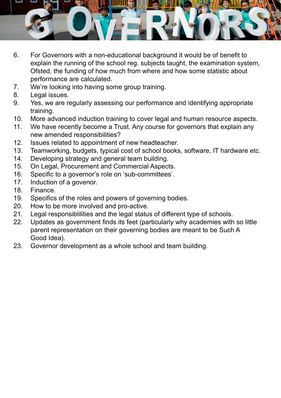

- 6. For Governors with a non-educational background it would be of benefit to explain the running of the school reg. subjects taught, the examination system, Ofsted, the funding of how much from where and how some statistic about performance are calculated.
- 7. We're looking into having some group training.
- 8. Legal issues.
- 9. Yes, we are regularly assessing our performance and identifying appropriate training.
- 10. More advanced induction training to cover legal and human resource aspects.
- 11. We have recently become a Trust. Any course for governors that explain any new amended responsibilities?
- 12. Issues related to appointment of new headteacher.
- 13. Teamworking, budgets, typical cost of school books, software, IT hardware etc.
- 14. Developing strategy and general team building.
- 15. On Legal, Procurement and Commercial Aspects.
- 16. Specific to a governor's role on 'sub-committees'.
- 17. Induction of a govenor.
- 18. Finance.
- 19. Specifics of the roles and powers of governing bodies.
- 20. How to be more involved and pro-active.
- 21. Legal responsiblilities and the legal status of different type of schools.
- 22. Updates as government finds its feet (particularly why academies with so little parent representation on their governing bodies are meant to be Such A Good Idea).
- 23. Governor development as a whole school and team building.